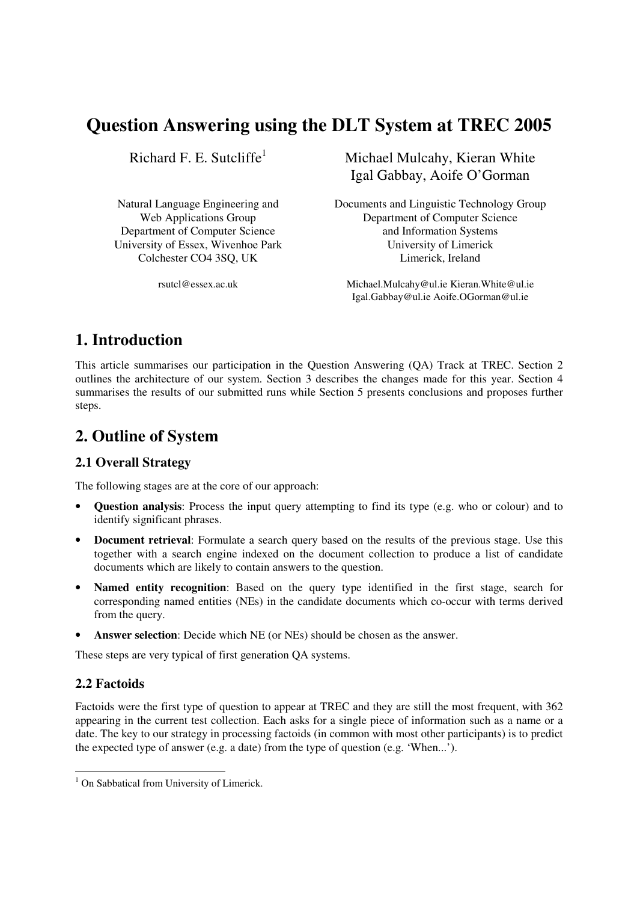# **Question Answering using the DLT System at TREC 2005**

Richard F. E. Sutcliffe<sup>1</sup>

University of Essex, Wivenhoe Park University of Limerick

Michael Mulcahy, Kieran White Igal Gabbay, Aoife O'Gorman

Natural Language Engineering and Documents and Linguistic Technology Group Web Applications Group Department of Computer Science Department of Computer Science and Information Systems Colchester CO4 3SQ, UK Limerick, Ireland

rsutcl@essex.ac.uk Michael.Mulcahy@ul.ie Kieran.White@ul.ie Igal.Gabbay@ul.ie Aoife.OGorman@ul.ie

## **1. Introduction**

This article summarises our participation in the Question Answering (QA) Track at TREC. Section 2 outlines the architecture of our system. Section 3 describes the changes made for this year. Section 4 summarises the results of our submitted runs while Section 5 presents conclusions and proposes further steps.

## **2. Outline of System**

### **2.1 Overall Strategy**

The following stages are at the core of our approach:

- **Question analysis**: Process the input query attempting to find its type (e.g. who or colour) and to identify significant phrases.
- **Document retrieval**: Formulate a search query based on the results of the previous stage. Use this together with a search engine indexed on the document collection to produce a list of candidate documents which are likely to contain answers to the question.
- **Named entity recognition**: Based on the query type identified in the first stage, search for corresponding named entities (NEs) in the candidate documents which co-occur with terms derived from the query.
- **Answer selection**: Decide which NE (or NEs) should be chosen as the answer.

These steps are very typical of first generation QA systems.

#### **2.2 Factoids**

Factoids were the first type of question to appear at TREC and they are still the most frequent, with 362 appearing in the current test collection. Each asks for a single piece of information such as a name or a date. The key to our strategy in processing factoids (in common with most other participants) is to predict the expected type of answer (e.g. a date) from the type of question (e.g. 'When...').

<sup>&</sup>lt;sup>1</sup> On Sabbatical from University of Limerick.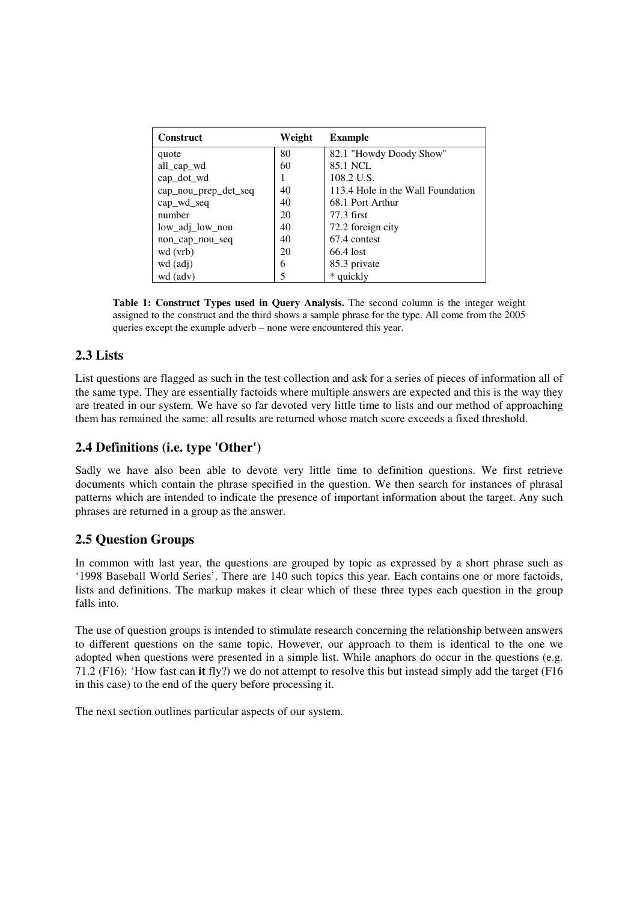| <b>Construct</b>     | Weight | <b>Example</b>                    |
|----------------------|--------|-----------------------------------|
| quote                | 80     | 82.1 "Howdy Doody Show"           |
| all_cap_wd           | 60     | 85.1 NCL                          |
| cap_dot_wd           |        | 108.2 U.S.                        |
| cap_nou_prep_det_seq | 40     | 113.4 Hole in the Wall Foundation |
| cap_wd_seq           | 40     | 68.1 Port Arthur                  |
| number               | 20     | 77.3 first                        |
| low adj low nou      | 40     | 72.2 foreign city                 |
| non_cap_nou_seq      | 40     | 67.4 contest                      |
| wd (vrb)             | 20     | 66.4 lost                         |
| wd (adj)             | 6      | 85.3 private                      |
| wd (adv)             |        | * quickly                         |

**Table 1: Construct Types used in Query Analysis.** The second column is the integer weight assigned to the construct and the third shows a sample phrase for the type. All come from the 2005 queries except the example adverb – none were encountered this year.

#### **2.3 Lists**

List questions are flagged as such in the test collection and ask for a series of pieces of information all of the same type. They are essentially factoids where multiple answers are expected and this is the way they are treated in our system. We have so far devoted very little time to lists and our method of approaching them has remained the same: all results are returned whose match score exceeds a fixed threshold.

### **2.4 Definitions (i.e. type 'Other')**

Sadly we have also been able to devote very little time to definition questions. We first retrieve documents which contain the phrase specified in the question. We then search for instances of phrasal patterns which are intended to indicate the presence of important information about the target. Any such phrases are returned in a group as the answer.

### **2.5 Question Groups**

In common with last year, the questions are grouped by topic as expressed by a short phrase such as '1998 Baseball World Series'. There are 140 such topics this year. Each contains one or more factoids, lists and definitions. The markup makes it clear which of these three types each question in the group falls into.

The use of question groups is intended to stimulate research concerning the relationship between answers to different questions on the same topic. However, our approach to them is identical to the one we adopted when questions were presented in a simple list. While anaphors do occur in the questions (e.g. 71.2 (F16): 'How fast can **it** fly?) we do not attempt to resolve this but instead simply add the target (F16 in this case) to the end of the query before processing it.

The next section outlines particular aspects of our system.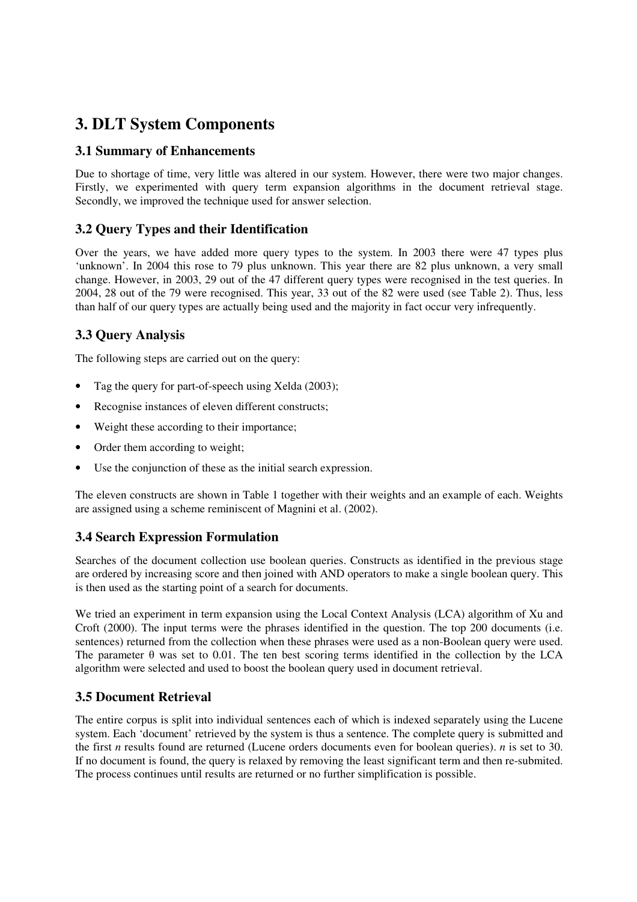# **3. DLT System Components**

### **3.1 Summary of Enhancements**

Due to shortage of time, very little was altered in our system. However, there were two major changes. Firstly, we experimented with query term expansion algorithms in the document retrieval stage. Secondly, we improved the technique used for answer selection.

## **3.2 Query Types and their Identification**

Over the years, we have added more query types to the system. In 2003 there were 47 types plus 'unknown'. In 2004 this rose to 79 plus unknown. This year there are 82 plus unknown, a very small change. However, in 2003, 29 out of the 47 different query types were recognised in the test queries. In 2004, 28 out of the 79 were recognised. This year, 33 out of the 82 were used (see Table 2). Thus, less than half of our query types are actually being used and the majority in fact occur very infrequently.

## **3.3 Query Analysis**

The following steps are carried out on the query:

- Tag the query for part-of-speech using Xelda (2003);
- Recognise instances of eleven different constructs;
- Weight these according to their importance;
- Order them according to weight;
- Use the conjunction of these as the initial search expression.

The eleven constructs are shown in Table 1 together with their weights and an example of each. Weights are assigned using a scheme reminiscent of Magnini et al. (2002).

### **3.4 Search Expression Formulation**

Searches of the document collection use boolean queries. Constructs as identified in the previous stage are ordered by increasing score and then joined with AND operators to make a single boolean query. This is then used as the starting point of a search for documents.

We tried an experiment in term expansion using the Local Context Analysis (LCA) algorithm of Xu and Croft (2000). The input terms were the phrases identified in the question. The top 200 documents (i.e. sentences) returned from the collection when these phrases were used as a non-Boolean query were used. The parameter  $\theta$  was set to 0.01. The ten best scoring terms identified in the collection by the LCA algorithm were selected and used to boost the boolean query used in document retrieval.

### **3.5 Document Retrieval**

The entire corpus is split into individual sentences each of which is indexed separately using the Lucene system. Each 'document' retrieved by the system is thus a sentence. The complete query is submitted and the first *n* results found are returned (Lucene orders documents even for boolean queries). *n* is set to 30. If no document is found, the query is relaxed by removing the least significant term and then re-submited. The process continues until results are returned or no further simplification is possible.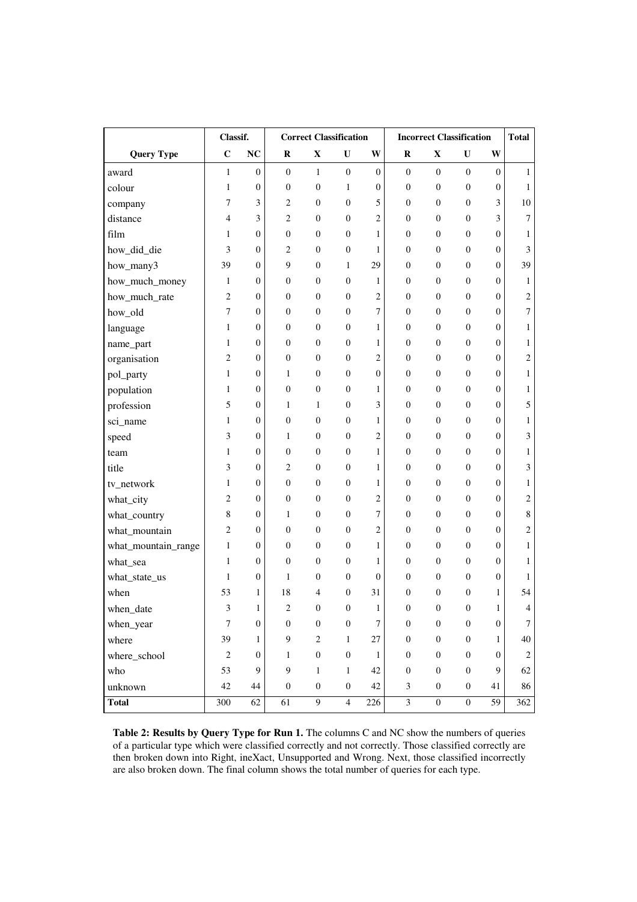|                     | Classif.       |                  | <b>Correct Classification</b> |                  |                  | <b>Incorrect Classification</b> |                  |                  |                  | <b>Total</b>     |                |
|---------------------|----------------|------------------|-------------------------------|------------------|------------------|---------------------------------|------------------|------------------|------------------|------------------|----------------|
| <b>Query Type</b>   | $\mathbf C$    | <b>NC</b>        | $\bf R$                       | X                | U                | W                               | $\bf R$          | X                | U                | W                |                |
| award               | $\mathbf{1}$   | $\overline{0}$   | $\overline{0}$                | $\mathbf{1}$     | $\boldsymbol{0}$ | $\overline{0}$                  | $\overline{0}$   | $\boldsymbol{0}$ | $\overline{0}$   | $\overline{0}$   | $\mathbf{1}$   |
| colour              | 1              | $\boldsymbol{0}$ | $\boldsymbol{0}$              | $\mathbf{0}$     | $\mathbf{1}$     | $\overline{0}$                  | $\mathbf{0}$     | $\boldsymbol{0}$ | $\boldsymbol{0}$ | $\boldsymbol{0}$ | $\mathbf{1}$   |
| company             | 7              | 3                | $\mathfrak{2}$                | $\mathbf{0}$     | $\boldsymbol{0}$ | 5                               | $\overline{0}$   | $\boldsymbol{0}$ | $\boldsymbol{0}$ | 3                | 10             |
| distance            | 4              | 3                | $\mathfrak{2}$                | $\boldsymbol{0}$ | $\boldsymbol{0}$ | $\overline{2}$                  | $\boldsymbol{0}$ | $\boldsymbol{0}$ | $\boldsymbol{0}$ | 3                | 7              |
| film                | 1              | $\boldsymbol{0}$ | $\boldsymbol{0}$              | $\overline{0}$   | $\boldsymbol{0}$ | 1                               | $\overline{0}$   | $\boldsymbol{0}$ | $\mathbf{0}$     | $\boldsymbol{0}$ | $\mathbf{1}$   |
| how_did_die         | 3              | $\boldsymbol{0}$ | $\mathfrak{2}$                | $\boldsymbol{0}$ | $\boldsymbol{0}$ | 1                               | $\overline{0}$   | $\boldsymbol{0}$ | $\boldsymbol{0}$ | $\boldsymbol{0}$ | 3              |
| how_many3           | 39             | $\boldsymbol{0}$ | 9                             | $\overline{0}$   | $\mathbf{1}$     | 29                              | $\boldsymbol{0}$ | $\boldsymbol{0}$ | $\mathbf{0}$     | $\boldsymbol{0}$ | 39             |
| how_much_money      | 1              | $\boldsymbol{0}$ | $\boldsymbol{0}$              | $\boldsymbol{0}$ | $\boldsymbol{0}$ | 1                               | $\boldsymbol{0}$ | $\boldsymbol{0}$ | $\mathbf{0}$     | $\boldsymbol{0}$ | 1              |
| how_much_rate       | $\overline{2}$ | $\boldsymbol{0}$ | $\boldsymbol{0}$              | $\overline{0}$   | $\boldsymbol{0}$ | $\overline{2}$                  | $\overline{0}$   | $\boldsymbol{0}$ | $\boldsymbol{0}$ | $\boldsymbol{0}$ | $\overline{c}$ |
| how_old             | 7              | $\boldsymbol{0}$ | $\boldsymbol{0}$              | $\overline{0}$   | $\boldsymbol{0}$ | 7                               | $\overline{0}$   | $\boldsymbol{0}$ | $\mathbf{0}$     | $\boldsymbol{0}$ | $\overline{7}$ |
| language            | 1              | $\boldsymbol{0}$ | $\boldsymbol{0}$              | $\boldsymbol{0}$ | $\boldsymbol{0}$ | $\mathbf{1}$                    | $\overline{0}$   | $\boldsymbol{0}$ | $\boldsymbol{0}$ | $\boldsymbol{0}$ | 1              |
| name_part           | 1              | $\boldsymbol{0}$ | $\boldsymbol{0}$              | $\boldsymbol{0}$ | $\boldsymbol{0}$ | 1                               | $\boldsymbol{0}$ | $\boldsymbol{0}$ | $\boldsymbol{0}$ | $\boldsymbol{0}$ | 1              |
| organisation        | $\mathfrak{2}$ | $\boldsymbol{0}$ | $\boldsymbol{0}$              | $\boldsymbol{0}$ | $\boldsymbol{0}$ | $\overline{c}$                  | $\boldsymbol{0}$ | $\boldsymbol{0}$ | $\overline{0}$   | $\boldsymbol{0}$ | 2              |
| pol_party           | $\mathbf{1}$   | $\boldsymbol{0}$ | 1                             | $\overline{0}$   | $\boldsymbol{0}$ | $\overline{0}$                  | $\mathbf{0}$     | $\boldsymbol{0}$ | $\boldsymbol{0}$ | $\boldsymbol{0}$ | 1              |
| population          | 1              | $\mathbf{0}$     | $\boldsymbol{0}$              | $\theta$         | $\boldsymbol{0}$ | 1                               | $\overline{0}$   | $\boldsymbol{0}$ | $\mathbf{0}$     | $\overline{0}$   | 1              |
| profession          | 5              | $\boldsymbol{0}$ | $\mathbf{1}$                  | 1                | $\boldsymbol{0}$ | 3                               | $\overline{0}$   | $\boldsymbol{0}$ | $\boldsymbol{0}$ | $\boldsymbol{0}$ | 5              |
| sci_name            | 1              | $\boldsymbol{0}$ | $\boldsymbol{0}$              | $\boldsymbol{0}$ | $\boldsymbol{0}$ | 1                               | $\boldsymbol{0}$ | $\boldsymbol{0}$ | $\boldsymbol{0}$ | $\boldsymbol{0}$ | 1              |
| speed               | 3              | $\boldsymbol{0}$ | 1                             | $\boldsymbol{0}$ | $\boldsymbol{0}$ | $\overline{2}$                  | $\boldsymbol{0}$ | $\boldsymbol{0}$ | $\mathbf{0}$     | $\boldsymbol{0}$ | 3              |
| team                | $\mathbf{1}$   | $\mathbf{0}$     | $\boldsymbol{0}$              | $\overline{0}$   | $\boldsymbol{0}$ | $\mathbf{1}$                    | $\boldsymbol{0}$ | $\boldsymbol{0}$ | $\mathbf{0}$     | $\boldsymbol{0}$ | 1              |
| title               | 3              | $\boldsymbol{0}$ | $\mathfrak{2}$                | $\overline{0}$   | $\boldsymbol{0}$ | 1                               | $\overline{0}$   | $\boldsymbol{0}$ | $\mathbf{0}$     | $\boldsymbol{0}$ | 3              |
| tv_network          | $\mathbf{1}$   | $\boldsymbol{0}$ | $\boldsymbol{0}$              | $\overline{0}$   | $\boldsymbol{0}$ | $\mathbf{1}$                    | $\mathbf{0}$     | $\boldsymbol{0}$ | $\mathbf{0}$     | $\boldsymbol{0}$ | 1              |
| what_city           | $\overline{2}$ | $\boldsymbol{0}$ | $\boldsymbol{0}$              | $\theta$         | $\boldsymbol{0}$ | $\overline{2}$                  | $\overline{0}$   | $\boldsymbol{0}$ | $\mathbf{0}$     | $\overline{0}$   | 2              |
| what_country        | 8              | $\boldsymbol{0}$ | 1                             | $\boldsymbol{0}$ | $\boldsymbol{0}$ | 7                               | $\mathbf{0}$     | $\boldsymbol{0}$ | $\boldsymbol{0}$ | $\boldsymbol{0}$ | 8              |
| what_mountain       | 2              | $\boldsymbol{0}$ | $\boldsymbol{0}$              | $\theta$         | $\boldsymbol{0}$ | $\overline{c}$                  | $\overline{0}$   | $\boldsymbol{0}$ | $\mathbf{0}$     | $\boldsymbol{0}$ | $\overline{c}$ |
| what_mountain_range | 1              | $\boldsymbol{0}$ | $\boldsymbol{0}$              | $\boldsymbol{0}$ | $\boldsymbol{0}$ | 1                               | $\overline{0}$   | $\boldsymbol{0}$ | $\boldsymbol{0}$ | $\boldsymbol{0}$ | 1              |
| what_sea            | $\mathbf{1}$   | $\boldsymbol{0}$ | $\boldsymbol{0}$              | $\boldsymbol{0}$ | $\boldsymbol{0}$ | $\mathbf{1}$                    | $\boldsymbol{0}$ | $\boldsymbol{0}$ | $\boldsymbol{0}$ | $\boldsymbol{0}$ | 1              |
| what_state_us       | 1              | $\boldsymbol{0}$ | 1                             | 0                | $\boldsymbol{0}$ | $\overline{0}$                  | $\boldsymbol{0}$ | $\mathbf{0}$     | $\mathbf{0}$     | $\boldsymbol{0}$ | 1              |
| when                | 53             | 1                | 18                            | 4                | $\boldsymbol{0}$ | 31                              | $\overline{0}$   | $\theta$         | $\mathbf{0}$     | $\mathbf{1}$     | 54             |
| when_date           | 3              | 1                | $\overline{\mathbf{c}}$       | $\boldsymbol{0}$ | $\boldsymbol{0}$ | 1                               | $\boldsymbol{0}$ | $\boldsymbol{0}$ | $\boldsymbol{0}$ | 1                | 4              |
| when_year           | $\overline{7}$ | $\boldsymbol{0}$ | $\boldsymbol{0}$              | $\boldsymbol{0}$ | $\boldsymbol{0}$ | $\tau$                          | $\boldsymbol{0}$ | $\boldsymbol{0}$ | $\boldsymbol{0}$ | $\boldsymbol{0}$ | 7              |
| where               | 39             | $\mathbf{1}$     | $\mathbf{9}$                  | $\sqrt{2}$       | $\mathbf{1}$     | 27                              | $\boldsymbol{0}$ | $\boldsymbol{0}$ | $\boldsymbol{0}$ | $\mathbf{1}$     | 40             |
| where_school        | $\mathbf{2}$   | $\mathbf{0}$     | $\mathbf{1}$                  | $\boldsymbol{0}$ | $\boldsymbol{0}$ | 1                               | $\boldsymbol{0}$ | $\boldsymbol{0}$ | $\boldsymbol{0}$ | $\boldsymbol{0}$ | $\mathfrak{2}$ |
| who                 | 53             | 9                | 9                             | $\mathbf{1}$     | $\mathbf{1}$     | 42                              | $\boldsymbol{0}$ | $\boldsymbol{0}$ | $\boldsymbol{0}$ | 9                | 62             |
| unknown             | 42             | 44               | $\boldsymbol{0}$              | $\boldsymbol{0}$ | $\boldsymbol{0}$ | 42                              | 3                | $\boldsymbol{0}$ | $\boldsymbol{0}$ | 41               | 86             |
| <b>Total</b>        | 300            | 62               | 61                            | 9                | $\overline{4}$   | 226                             | $\mathfrak{Z}$   | $\boldsymbol{0}$ | $\boldsymbol{0}$ | 59               | 362            |

**Table 2: Results by Query Type for Run 1.** The columns C and NC show the numbers of queries of a particular type which were classified correctly and not correctly. Those classified correctly are then broken down into Right, ineXact, Unsupported and Wrong. Next, those classified incorrectly are also broken down. The final column shows the total number of queries for each type.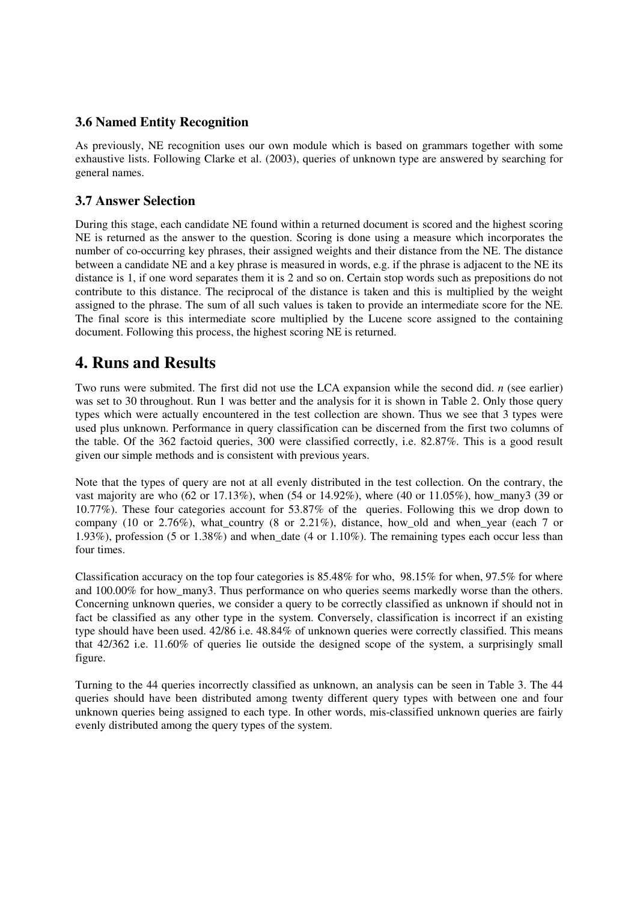#### **3.6 Named Entity Recognition**

As previously, NE recognition uses our own module which is based on grammars together with some exhaustive lists. Following Clarke et al. (2003), queries of unknown type are answered by searching for general names.

#### **3.7 Answer Selection**

During this stage, each candidate NE found within a returned document is scored and the highest scoring NE is returned as the answer to the question. Scoring is done using a measure which incorporates the number of co-occurring key phrases, their assigned weights and their distance from the NE. The distance between a candidate NE and a key phrase is measured in words, e.g. if the phrase is adjacent to the NE its distance is 1, if one word separates them it is 2 and so on. Certain stop words such as prepositions do not contribute to this distance. The reciprocal of the distance is taken and this is multiplied by the weight assigned to the phrase. The sum of all such values is taken to provide an intermediate score for the NE. The final score is this intermediate score multiplied by the Lucene score assigned to the containing document. Following this process, the highest scoring NE is returned.

## **4. Runs and Results**

Two runs were submited. The first did not use the LCA expansion while the second did. *n* (see earlier) was set to 30 throughout. Run 1 was better and the analysis for it is shown in Table 2. Only those query types which were actually encountered in the test collection are shown. Thus we see that 3 types were used plus unknown. Performance in query classification can be discerned from the first two columns of the table. Of the 362 factoid queries, 300 were classified correctly, i.e. 82.87%. This is a good result given our simple methods and is consistent with previous years.

Note that the types of query are not at all evenly distributed in the test collection. On the contrary, the vast majority are who  $(62 \text{ or } 17.13\%)$ , when  $(54 \text{ or } 14.92\%)$ , where  $(40 \text{ or } 11.05\%)$ , how many3 (39 or 10.77%). These four categories account for 53.87% of the queries. Following this we drop down to company (10 or 2.76%), what country (8 or 2.21%), distance, how old and when year (each 7 or 1.93%), profession (5 or 1.38%) and when\_date (4 or 1.10%). The remaining types each occur less than four times.

Classification accuracy on the top four categories is 85.48% for who, 98.15% for when, 97.5% for where and 100.00% for how\_many3. Thus performance on who queries seems markedly worse than the others. Concerning unknown queries, we consider a query to be correctly classified as unknown if should not in fact be classified as any other type in the system. Conversely, classification is incorrect if an existing type should have been used. 42/86 i.e. 48.84% of unknown queries were correctly classified. This means that 42/362 i.e. 11.60% of queries lie outside the designed scope of the system, a surprisingly small figure.

Turning to the 44 queries incorrectly classified as unknown, an analysis can be seen in Table 3. The 44 queries should have been distributed among twenty different query types with between one and four unknown queries being assigned to each type. In other words, mis-classified unknown queries are fairly evenly distributed among the query types of the system.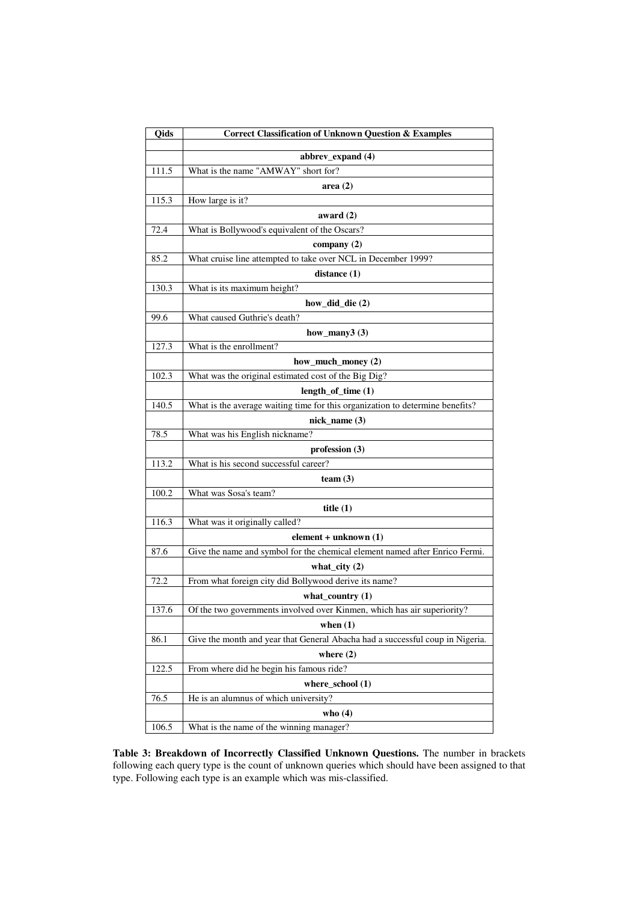| Qids  | <b>Correct Classification of Unknown Question &amp; Examples</b>              |  |  |  |
|-------|-------------------------------------------------------------------------------|--|--|--|
|       | abbrev_expand (4)                                                             |  |  |  |
| 111.5 | What is the name "AMWAY" short for?                                           |  |  |  |
|       | area $(2)$                                                                    |  |  |  |
| 115.3 | How large is it?                                                              |  |  |  |
|       | award $(2)$                                                                   |  |  |  |
| 72.4  | What is Bollywood's equivalent of the Oscars?                                 |  |  |  |
|       | company (2)                                                                   |  |  |  |
| 85.2  | What cruise line attempted to take over NCL in December 1999?                 |  |  |  |
|       | distance (1)                                                                  |  |  |  |
| 130.3 | What is its maximum height?                                                   |  |  |  |
|       | how_did_die (2)                                                               |  |  |  |
| 99.6  | What caused Guthrie's death?                                                  |  |  |  |
|       | how_many $3(3)$                                                               |  |  |  |
| 127.3 | What is the enrollment?                                                       |  |  |  |
|       | how_much_money (2)                                                            |  |  |  |
| 102.3 | What was the original estimated cost of the Big Dig?                          |  |  |  |
|       | $length_of_time(1)$                                                           |  |  |  |
| 140.5 | What is the average waiting time for this organization to determine benefits? |  |  |  |
|       | $nick_name(3)$                                                                |  |  |  |
| 78.5  | What was his English nickname?                                                |  |  |  |
|       | profession $(3)$                                                              |  |  |  |
| 113.2 | What is his second successful career?                                         |  |  |  |
|       | team $(3)$                                                                    |  |  |  |
| 100.2 | What was Sosa's team?                                                         |  |  |  |
|       | title $(1)$                                                                   |  |  |  |
| 116.3 | What was it originally called?                                                |  |  |  |
|       | $element + unknown(1)$                                                        |  |  |  |
| 87.6  | Give the name and symbol for the chemical element named after Enrico Fermi.   |  |  |  |
|       | what_city $(2)$                                                               |  |  |  |
| 72.2  | From what foreign city did Bollywood derive its name?                         |  |  |  |
|       | what_country $(1)$                                                            |  |  |  |
| 137.6 | Of the two governments involved over Kinmen, which has air superiority?       |  |  |  |
|       | when $(1)$                                                                    |  |  |  |
| 86.1  | Give the month and year that General Abacha had a successful coup in Nigeria. |  |  |  |
|       | where $(2)$                                                                   |  |  |  |
| 122.5 | From where did he begin his famous ride?                                      |  |  |  |
|       | where_school $(1)$                                                            |  |  |  |
| 76.5  | He is an alumnus of which university?                                         |  |  |  |
|       | who $(4)$                                                                     |  |  |  |
| 106.5 | What is the name of the winning manager?                                      |  |  |  |

**Table 3: Breakdown of Incorrectly Classified Unknown Questions.** The number in brackets following each query type is the count of unknown queries which should have been assigned to that type. Following each type is an example which was mis-classified.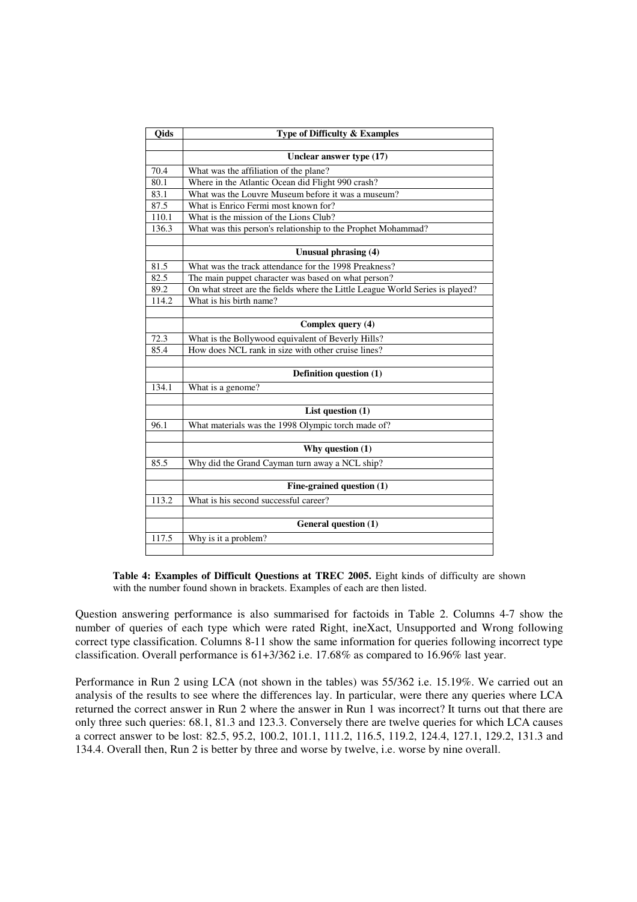| Oids              | Type of Difficulty & Examples                                                 |
|-------------------|-------------------------------------------------------------------------------|
|                   |                                                                               |
|                   | Unclear answer type (17)                                                      |
| 70.4              | What was the affiliation of the plane?                                        |
| 80.1              | Where in the Atlantic Ocean did Flight 990 crash?                             |
| $83.\overline{1}$ | What was the Louvre Museum before it was a museum?                            |
| 87.5              | What is Enrico Fermi most known for?                                          |
| 110.1             | What is the mission of the Lions Club?                                        |
| 136.3             | What was this person's relationship to the Prophet Mohammad?                  |
|                   |                                                                               |
|                   | Unusual phrasing (4)                                                          |
| 81.5              | What was the track attendance for the 1998 Preakness?                         |
| 82.5              | The main puppet character was based on what person?                           |
| 89.2              | On what street are the fields where the Little League World Series is played? |
| 114.2             | What is his birth name?                                                       |
|                   |                                                                               |
|                   | Complex query (4)                                                             |
| 72.3              | What is the Bollywood equivalent of Beverly Hills?                            |
| 85.4              | How does NCL rank in size with other cruise lines?                            |
|                   |                                                                               |
|                   | Definition question (1)                                                       |
| 134.1             | What is a genome?                                                             |
|                   |                                                                               |
|                   | List question $(1)$                                                           |
| 96.1              | What materials was the 1998 Olympic torch made of?                            |
|                   |                                                                               |
|                   | Why question $(1)$                                                            |
| 85.5              | Why did the Grand Cayman turn away a NCL ship?                                |
|                   |                                                                               |
|                   | Fine-grained question (1)                                                     |
| 113.2             | What is his second successful career?                                         |
|                   |                                                                               |
|                   | General question (1)                                                          |
| 117.5             | Why is it a problem?                                                          |
|                   |                                                                               |

**Table 4: Examples of Difficult Questions at TREC 2005.** Eight kinds of difficulty are shown with the number found shown in brackets. Examples of each are then listed.

Question answering performance is also summarised for factoids in Table 2. Columns 4-7 show the number of queries of each type which were rated Right, ineXact, Unsupported and Wrong following correct type classification. Columns 8-11 show the same information for queries following incorrect type classification. Overall performance is 61+3/362 i.e. 17.68% as compared to 16.96% last year.

Performance in Run 2 using LCA (not shown in the tables) was 55/362 i.e. 15.19%. We carried out an analysis of the results to see where the differences lay. In particular, were there any queries where LCA returned the correct answer in Run 2 where the answer in Run 1 was incorrect? It turns out that there are only three such queries: 68.1, 81.3 and 123.3. Conversely there are twelve queries for which LCA causes a correct answer to be lost: 82.5, 95.2, 100.2, 101.1, 111.2, 116.5, 119.2, 124.4, 127.1, 129.2, 131.3 and 134.4. Overall then, Run 2 is better by three and worse by twelve, i.e. worse by nine overall.